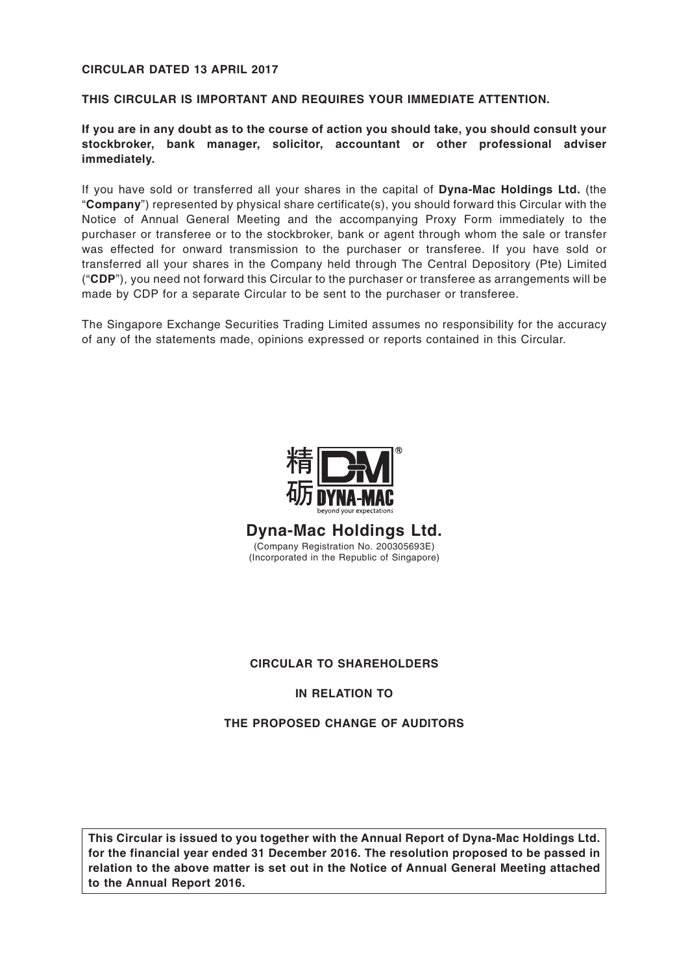## **CIRCULAR DATED 13 APRIL 2017**

#### **THIS CIRCULAR IS IMPORTANT AND REQUIRES YOUR IMMEDIATE ATTENTION.**

**If you are in any doubt as to the course of action you should take, you should consult your stockbroker, bank manager, solicitor, accountant or other professional adviser immediately.**

If you have sold or transferred all your shares in the capital of **Dyna-Mac Holdings Ltd.** (the "**Company**") represented by physical share certificate(s), you should forward this Circular with the Notice of Annual General Meeting and the accompanying Proxy Form immediately to the purchaser or transferee or to the stockbroker, bank or agent through whom the sale or transfer was effected for onward transmission to the purchaser or transferee. If you have sold or transferred all your shares in the Company held through The Central Depository (Pte) Limited ("**CDP**"), you need not forward this Circular to the purchaser or transferee as arrangements will be made by CDP for a separate Circular to be sent to the purchaser or transferee.

The Singapore Exchange Securities Trading Limited assumes no responsibility for the accuracy of any of the statements made, opinions expressed or reports contained in this Circular.



**Dyna-Mac Holdings Ltd.** (Company Registration No. 200305693E) (Incorporated in the Republic of Singapore)

## **CIRCULAR TO SHAREHOLDERS**

### **IN RELATION TO**

#### **THE PROPOSED CHANGE OF AUDITORS**

**This Circular is issued to you together with the Annual Report of Dyna-Mac Holdings Ltd. for the financial year ended 31 December 2016. The resolution proposed to be passed in relation to the above matter is set out in the Notice of Annual General Meeting attached to the Annual Report 2016.**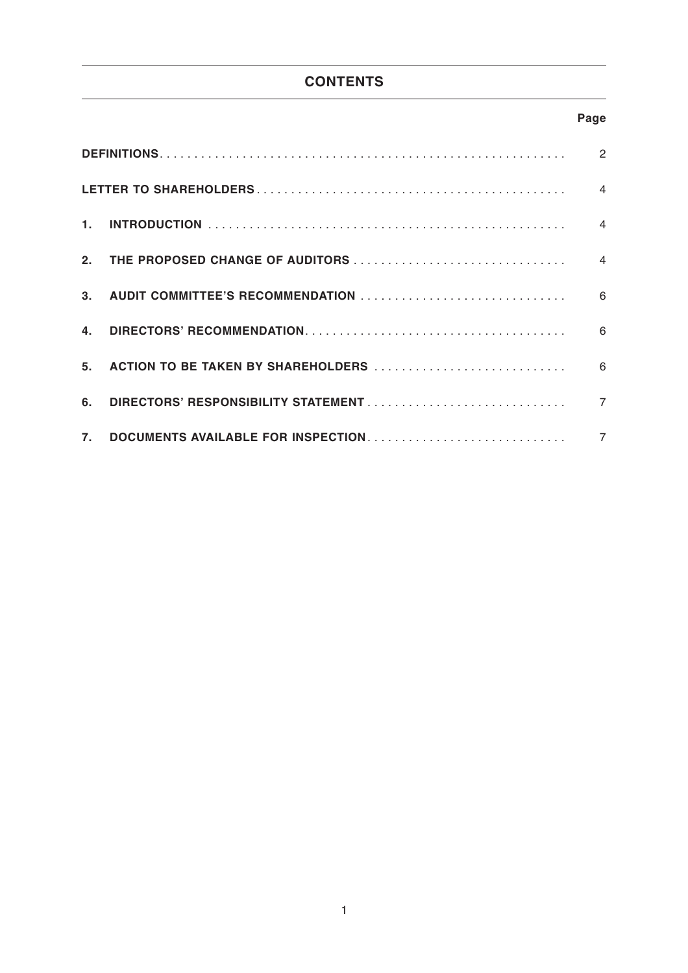# **CONTENTS**

# **Page**

| $\mathbf{1}$   |  | $\overline{4}$ |  |  |  |
|----------------|--|----------------|--|--|--|
| 2.             |  |                |  |  |  |
|                |  |                |  |  |  |
| 4.             |  |                |  |  |  |
| 5 <sub>1</sub> |  |                |  |  |  |
| 6.             |  | $\overline{7}$ |  |  |  |
| 7.             |  | $\overline{7}$ |  |  |  |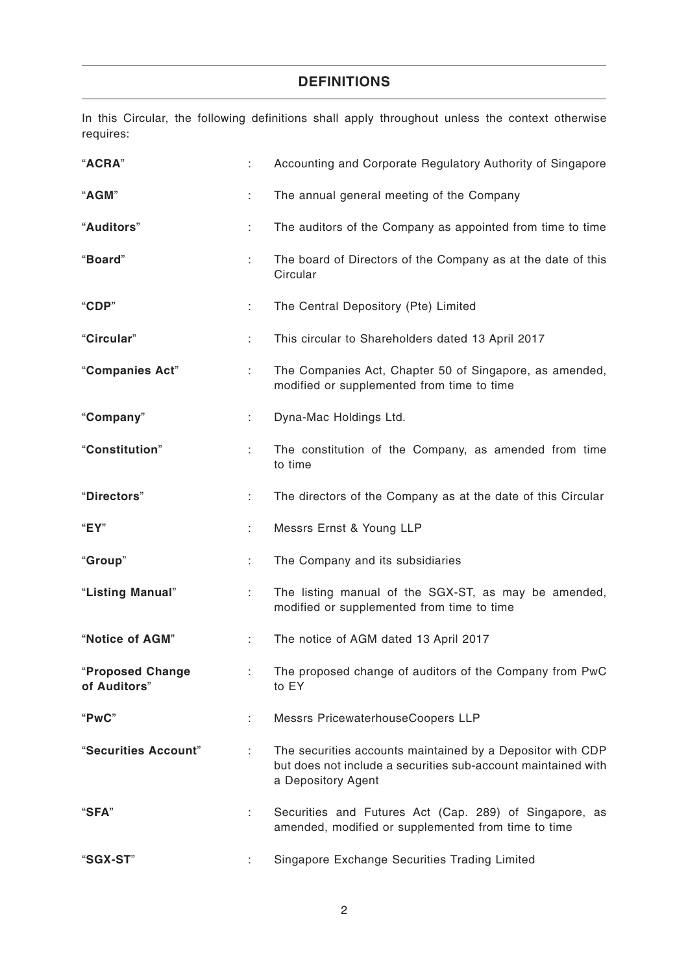# **DEFINITIONS**

In this Circular, the following definitions shall apply throughout unless the context otherwise requires:

| "ACRA"                           |    | Accounting and Corporate Regulatory Authority of Singapore                                                                                        |
|----------------------------------|----|---------------------------------------------------------------------------------------------------------------------------------------------------|
| "AGM"                            | ÷  | The annual general meeting of the Company                                                                                                         |
| "Auditors"                       | t. | The auditors of the Company as appointed from time to time                                                                                        |
| "Board"                          | ÷. | The board of Directors of the Company as at the date of this<br>Circular                                                                          |
| "CDP"                            |    | The Central Depository (Pte) Limited                                                                                                              |
| "Circular"                       | t. | This circular to Shareholders dated 13 April 2017                                                                                                 |
| "Companies Act"                  |    | The Companies Act, Chapter 50 of Singapore, as amended,<br>modified or supplemented from time to time                                             |
| "Company"                        | ÷. | Dyna-Mac Holdings Ltd.                                                                                                                            |
| "Constitution"                   | ÷. | The constitution of the Company, as amended from time<br>to time                                                                                  |
| "Directors"                      | ÷. | The directors of the Company as at the date of this Circular                                                                                      |
| "EY"                             |    | Messrs Ernst & Young LLP                                                                                                                          |
| "Group"                          | ÷. | The Company and its subsidiaries                                                                                                                  |
| "Listing Manual"                 |    | The listing manual of the SGX-ST, as may be amended,<br>modified or supplemented from time to time                                                |
| "Notice of AGM"                  | ÷. | The notice of AGM dated 13 April 2017                                                                                                             |
| "Proposed Change<br>of Auditors" |    | The proposed change of auditors of the Company from PwC<br>to EY                                                                                  |
| "PwC"                            | ÷. | Messrs PricewaterhouseCoopers LLP                                                                                                                 |
| "Securities Account"             | ÷. | The securities accounts maintained by a Depositor with CDP<br>but does not include a securities sub-account maintained with<br>a Depository Agent |
| "SFA"                            | ÷. | Securities and Futures Act (Cap. 289) of Singapore, as<br>amended, modified or supplemented from time to time                                     |
| "SGX-ST"                         |    | Singapore Exchange Securities Trading Limited                                                                                                     |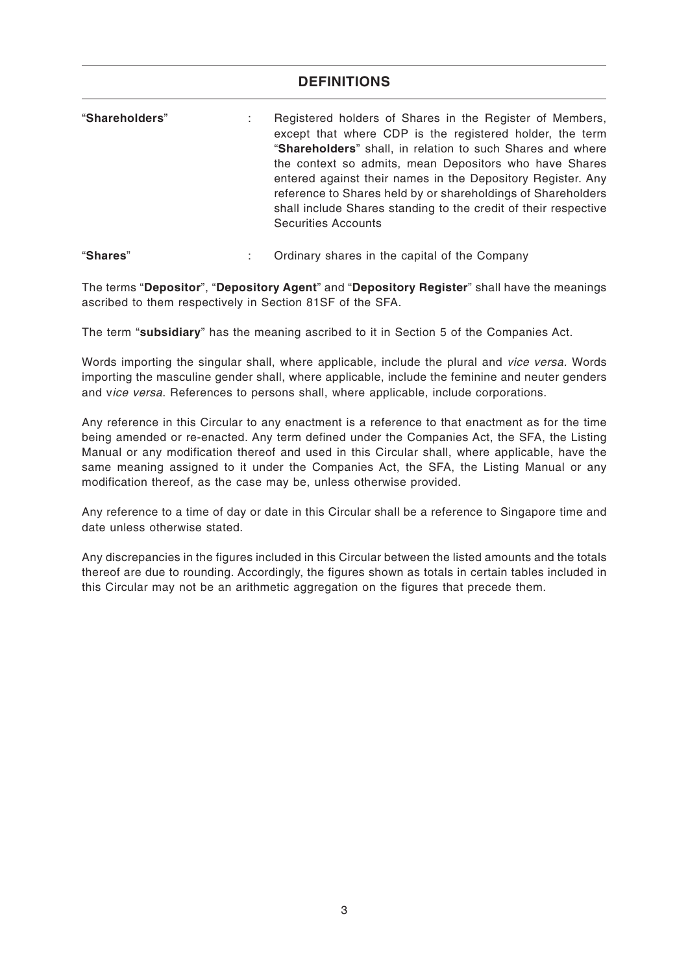# **DEFINITIONS**

| "Shareholders" | Registered holders of Shares in the Register of Members,<br>except that where CDP is the registered holder, the term<br>"Shareholders" shall, in relation to such Shares and where<br>the context so admits, mean Depositors who have Shares<br>entered against their names in the Depository Register. Any<br>reference to Shares held by or shareholdings of Shareholders<br>shall include Shares standing to the credit of their respective<br><b>Securities Accounts</b> |
|----------------|------------------------------------------------------------------------------------------------------------------------------------------------------------------------------------------------------------------------------------------------------------------------------------------------------------------------------------------------------------------------------------------------------------------------------------------------------------------------------|
|                |                                                                                                                                                                                                                                                                                                                                                                                                                                                                              |

#### "**Shares**" : Ordinary shares in the capital of the Company

The terms "**Depositor**", "**Depository Agent**" and "**Depository Register**" shall have the meanings ascribed to them respectively in Section 81SF of the SFA.

The term "**subsidiary**" has the meaning ascribed to it in Section 5 of the Companies Act.

Words importing the singular shall, where applicable, include the plural and vice versa. Words importing the masculine gender shall, where applicable, include the feminine and neuter genders and vice versa. References to persons shall, where applicable, include corporations.

Any reference in this Circular to any enactment is a reference to that enactment as for the time being amended or re-enacted. Any term defined under the Companies Act, the SFA, the Listing Manual or any modification thereof and used in this Circular shall, where applicable, have the same meaning assigned to it under the Companies Act, the SFA, the Listing Manual or any modification thereof, as the case may be, unless otherwise provided.

Any reference to a time of day or date in this Circular shall be a reference to Singapore time and date unless otherwise stated.

Any discrepancies in the figures included in this Circular between the listed amounts and the totals thereof are due to rounding. Accordingly, the figures shown as totals in certain tables included in this Circular may not be an arithmetic aggregation on the figures that precede them.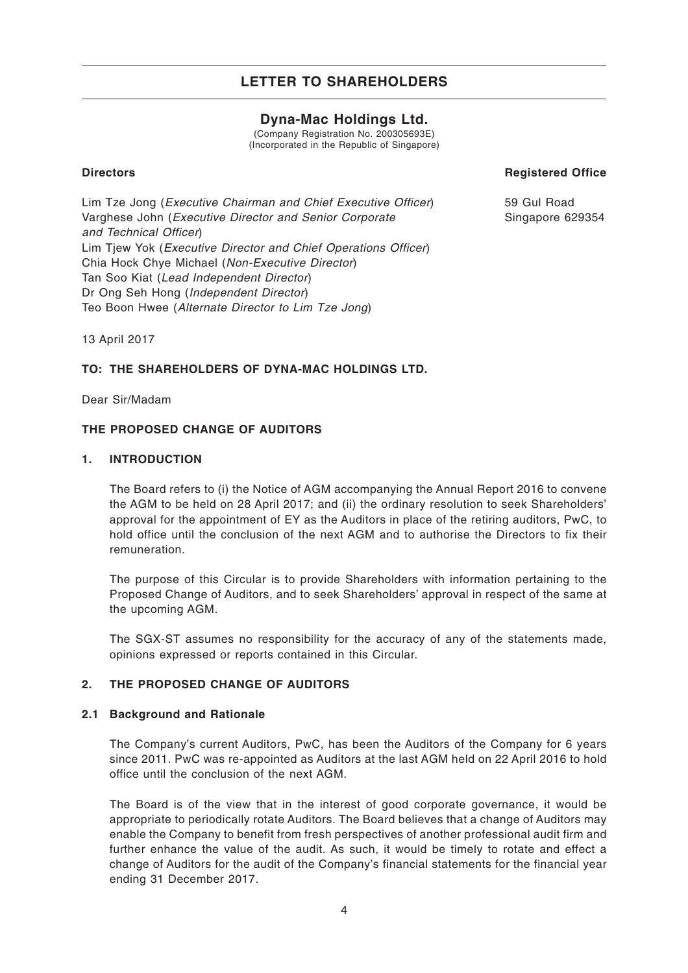# **Dyna-Mac Holdings Ltd.**

(Company Registration No. 200305693E) (Incorporated in the Republic of Singapore)

#### **Directors**

**Registered Office**

Lim Tze Jong (Executive Chairman and Chief Executive Officer) Varghese John (Executive Director and Senior Corporate and Technical Officer) Lim Tiew Yok (*Executive Director and Chief Operations Officer*) Chia Hock Chye Michael (Non-Executive Director) Tan Soo Kiat (Lead Independent Director) Dr Ong Seh Hong (Independent Director) Teo Boon Hwee (Alternate Director to Lim Tze Jong)

59 Gul Road Singapore 629354

13 April 2017

### **TO: THE SHAREHOLDERS OF DYNA-MAC HOLDINGS LTD.**

Dear Sir/Madam

#### **THE PROPOSED CHANGE OF AUDITORS**

#### **1. INTRODUCTION**

The Board refers to (i) the Notice of AGM accompanying the Annual Report 2016 to convene the AGM to be held on 28 April 2017; and (ii) the ordinary resolution to seek Shareholders' approval for the appointment of EY as the Auditors in place of the retiring auditors, PwC, to hold office until the conclusion of the next AGM and to authorise the Directors to fix their remuneration.

The purpose of this Circular is to provide Shareholders with information pertaining to the Proposed Change of Auditors, and to seek Shareholders' approval in respect of the same at the upcoming AGM.

The SGX-ST assumes no responsibility for the accuracy of any of the statements made, opinions expressed or reports contained in this Circular.

#### **2. THE PROPOSED CHANGE OF AUDITORS**

#### **2.1 Background and Rationale**

The Company's current Auditors, PwC, has been the Auditors of the Company for 6 years since 2011. PwC was re-appointed as Auditors at the last AGM held on 22 April 2016 to hold office until the conclusion of the next AGM.

The Board is of the view that in the interest of good corporate governance, it would be appropriate to periodically rotate Auditors. The Board believes that a change of Auditors may enable the Company to benefit from fresh perspectives of another professional audit firm and further enhance the value of the audit. As such, it would be timely to rotate and effect a change of Auditors for the audit of the Company's financial statements for the financial year ending 31 December 2017.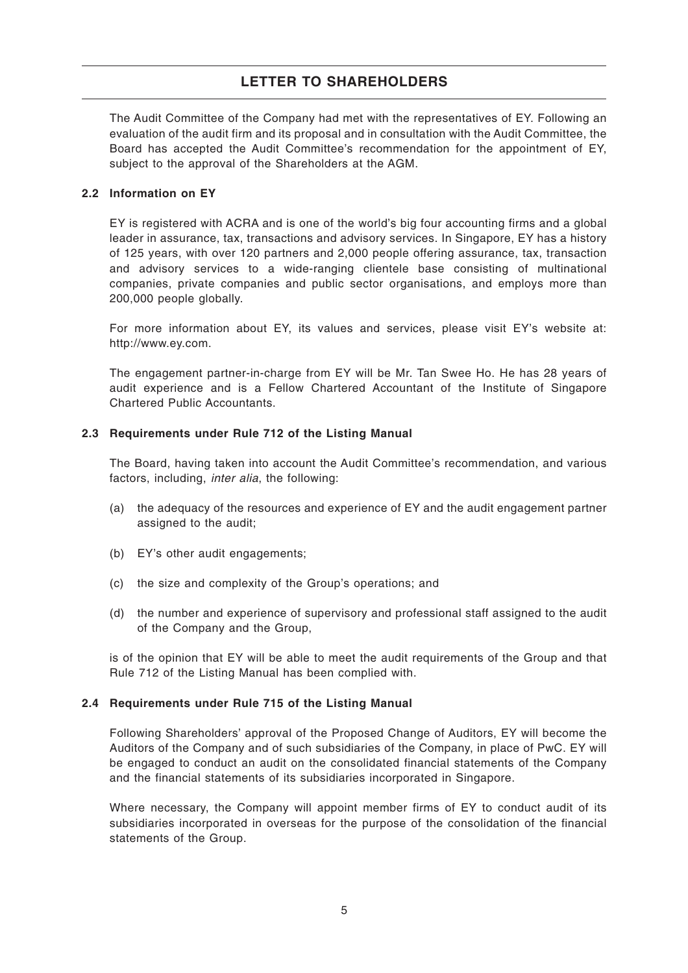The Audit Committee of the Company had met with the representatives of EY. Following an evaluation of the audit firm and its proposal and in consultation with the Audit Committee, the Board has accepted the Audit Committee's recommendation for the appointment of EY, subject to the approval of the Shareholders at the AGM.

### **2.2 Information on EY**

EY is registered with ACRA and is one of the world's big four accounting firms and a global leader in assurance, tax, transactions and advisory services. In Singapore, EY has a history of 125 years, with over 120 partners and 2,000 people offering assurance, tax, transaction and advisory services to a wide-ranging clientele base consisting of multinational companies, private companies and public sector organisations, and employs more than 200,000 people globally.

For more information about EY, its values and services, please visit EY's website at: http://www.ey.com.

The engagement partner-in-charge from EY will be Mr. Tan Swee Ho. He has 28 years of audit experience and is a Fellow Chartered Accountant of the Institute of Singapore Chartered Public Accountants.

#### **2.3 Requirements under Rule 712 of the Listing Manual**

The Board, having taken into account the Audit Committee's recommendation, and various factors, including, inter alia, the following:

- (a) the adequacy of the resources and experience of EY and the audit engagement partner assigned to the audit;
- (b) EY's other audit engagements;
- (c) the size and complexity of the Group's operations; and
- (d) the number and experience of supervisory and professional staff assigned to the audit of the Company and the Group,

is of the opinion that EY will be able to meet the audit requirements of the Group and that Rule 712 of the Listing Manual has been complied with.

#### **2.4 Requirements under Rule 715 of the Listing Manual**

Following Shareholders' approval of the Proposed Change of Auditors, EY will become the Auditors of the Company and of such subsidiaries of the Company, in place of PwC. EY will be engaged to conduct an audit on the consolidated financial statements of the Company and the financial statements of its subsidiaries incorporated in Singapore.

Where necessary, the Company will appoint member firms of EY to conduct audit of its subsidiaries incorporated in overseas for the purpose of the consolidation of the financial statements of the Group.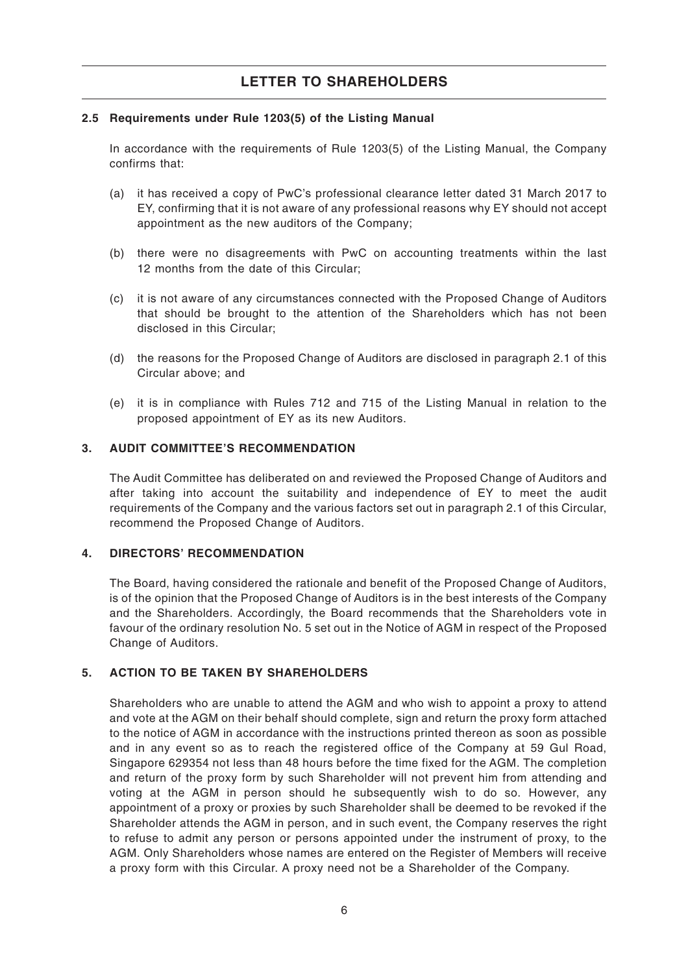#### **2.5 Requirements under Rule 1203(5) of the Listing Manual**

In accordance with the requirements of Rule 1203(5) of the Listing Manual, the Company confirms that:

- (a) it has received a copy of PwC's professional clearance letter dated 31 March 2017 to EY, confirming that it is not aware of any professional reasons why EY should not accept appointment as the new auditors of the Company;
- (b) there were no disagreements with PwC on accounting treatments within the last 12 months from the date of this Circular;
- (c) it is not aware of any circumstances connected with the Proposed Change of Auditors that should be brought to the attention of the Shareholders which has not been disclosed in this Circular;
- (d) the reasons for the Proposed Change of Auditors are disclosed in paragraph 2.1 of this Circular above; and
- (e) it is in compliance with Rules 712 and 715 of the Listing Manual in relation to the proposed appointment of EY as its new Auditors.

#### **3. AUDIT COMMITTEE'S RECOMMENDATION**

The Audit Committee has deliberated on and reviewed the Proposed Change of Auditors and after taking into account the suitability and independence of EY to meet the audit requirements of the Company and the various factors set out in paragraph 2.1 of this Circular, recommend the Proposed Change of Auditors.

#### **4. DIRECTORS' RECOMMENDATION**

The Board, having considered the rationale and benefit of the Proposed Change of Auditors, is of the opinion that the Proposed Change of Auditors is in the best interests of the Company and the Shareholders. Accordingly, the Board recommends that the Shareholders vote in favour of the ordinary resolution No. 5 set out in the Notice of AGM in respect of the Proposed Change of Auditors.

### **5. ACTION TO BE TAKEN BY SHAREHOLDERS**

Shareholders who are unable to attend the AGM and who wish to appoint a proxy to attend and vote at the AGM on their behalf should complete, sign and return the proxy form attached to the notice of AGM in accordance with the instructions printed thereon as soon as possible and in any event so as to reach the registered office of the Company at 59 Gul Road, Singapore 629354 not less than 48 hours before the time fixed for the AGM. The completion and return of the proxy form by such Shareholder will not prevent him from attending and voting at the AGM in person should he subsequently wish to do so. However, any appointment of a proxy or proxies by such Shareholder shall be deemed to be revoked if the Shareholder attends the AGM in person, and in such event, the Company reserves the right to refuse to admit any person or persons appointed under the instrument of proxy, to the AGM. Only Shareholders whose names are entered on the Register of Members will receive a proxy form with this Circular. A proxy need not be a Shareholder of the Company.